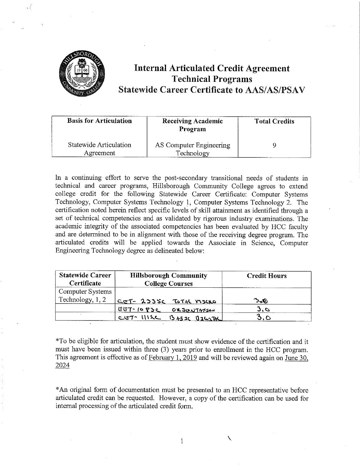

# **Internal Articulated Credit Agreement Technical Programs Statewide Career Certificate to AAS/AS/PSAV**

| <b>Basis for Articulation</b>       | <b>Receiving Academic</b><br>Program  | <b>Total Credits</b> |
|-------------------------------------|---------------------------------------|----------------------|
| Statewide Articulation<br>Agreement | AS Computer Engineering<br>Technology |                      |

In a continuing effort to serve the post-secondary transitional needs of students in technical and career programs, Hillsborough Community College agrees to extend college credit for the following Statewide Career Certificate: Computer Systems Technology, Computer Systems Technology 1, Computer Systems Technology 2. The certification noted herein reflect specific levels of skill attainment as identified through a set of technical competencies and as validated by rigorous industry examinations. The academic integrity of the associated competencies has been evaluated by HCC faculty and are determined to be in alignment with those of the receiving degree program. The articulated credits will be applied towards the Associate in Science, Computer Engineering Technology degree as delineated below:

| <b>Statewide Career</b><br>Certificate | <b>Hillsborough Community</b><br><b>College Courses</b>       | <b>Credit Hours</b> |
|----------------------------------------|---------------------------------------------------------------|---------------------|
| Computer Systems<br>Technology, 1, 2   | CET- 233SC TOTAL MICKO                                        | 340                 |
|                                        | G57.1085C<br>ORJONTMEN<br>$CST$ $WAC$<br><u>BASIC BILLIAL</u> | 3.6<br>5.0          |

\*To be eligible for articulation, the student must show evidence of the certification and it must have been issued within three (3) years prior to enrolhnent in the HCC program. This agreement is effective as of February 1, 2019 and will be reviewed again on June 30, 2024

\* An original form of documentation must be presented to an HCC representative before articulated credit can be requested. However, a copy of the certification can be used for internal processing of the articulated credit form.

 $\frac{1}{1}$   $\frac{1}{1}$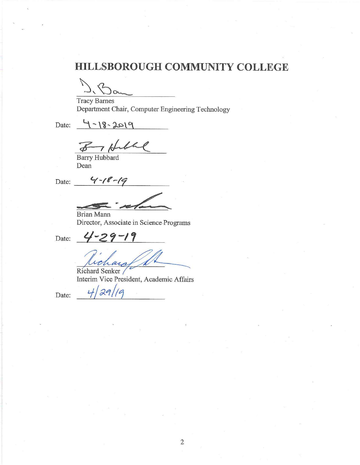# **HILLSBOROUGH COMMUNITY COLLEGE**

Tracy Barnes Department Chair, Computer Engineering Technology

Date:  $4 - 18 - 2019$ 

7 Hill  $\tilde{\bm{z}}$ 

Barry Hubbard Dean

Date: <u>4</u> - 18 - 19

**FT'..** ,/' - *-<* ~ **~...\_,\_..2'-.** 

 $4 - 29 - 19$ 

Brian Mann Director, Associate in Science Programs

Date:

Richard Senker Interim Vice President, Academic Affairs

Date:  $4/29/19$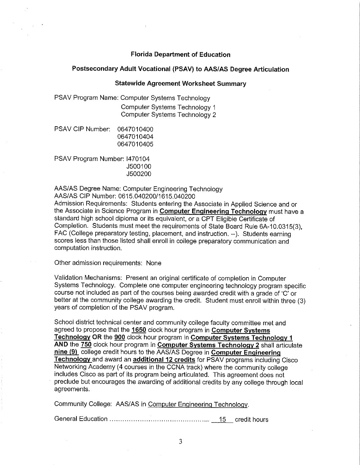## **Florida Department of Education**

### **Postsecondary Adult Vocational (PSAV) to AAS/AS Degree Articulation**

#### **Statewide Agreement Worksheet Summary**

PSAV Program Name: Computer Systems Technology Computer Systems Technology 1 Computer Systems Technology 2

| PSAV CIP Number: _ | 0647010400 |
|--------------------|------------|
|                    | 0647010404 |
|                    | 0647010405 |

PSAV Program Number: 1470104 J500100 J500200

AAS/AS Degree Name: Computer Engineering Technology

AAS/AS CIP Number: 0615.040200/1615.040200

Admission Requirements: Students entering the Associate in Applied Science and or the Associate in Science Program in **Computer Engineering Technology** must have a standard high school diploma or its equivalent, or a CPT Eligible Certificate of Completion. Students must meet the requirements of State Board Rule 6A-10.0315(3), FAC (College preparatory testing, placement, and instruction. --). Students earning scores less than those listed shall enroll in college preparatory communication and computation instruction.

Other admission requirements: None

Validation Mechanisms: Present an original certificate of completion in Computer Systems Technology. Complete one computer engineering technology program specific course not included as part of the courses being awarded credit with a grade of 'C' or better at the community college awarding the credit. Student must enroll within three (3) years of completion of the PSAV program.

School district technical center and community college faculty committee met and agreed to propose that the **1650** clock hour program in **Computer Systems Technology OR** the **900** clock hour program in **Computer Systems Technology 1 AND** the **750** clock hour program in **Computer Systems Technology 2** shall articulate **nine (9)** college credit hours to the AAS/AS Degree in **Computer Engineering Technology** and award an **additional 12 credits** for PSAV programs including Cisco Networking Academy (4 courses in the CCNA track) where the community college includes Cisco as part of its program being articulated. This agreement does not preclude but encourages the awarding of additional credits by any college through local agreements.

Community College: AAS/AS in Computer Engineering Technology.

General Education . . . . . . . . . . . . . . . . . . . . . . . . . . . . . . . . . . . . . . . . . . . . . .. 15 credit hours